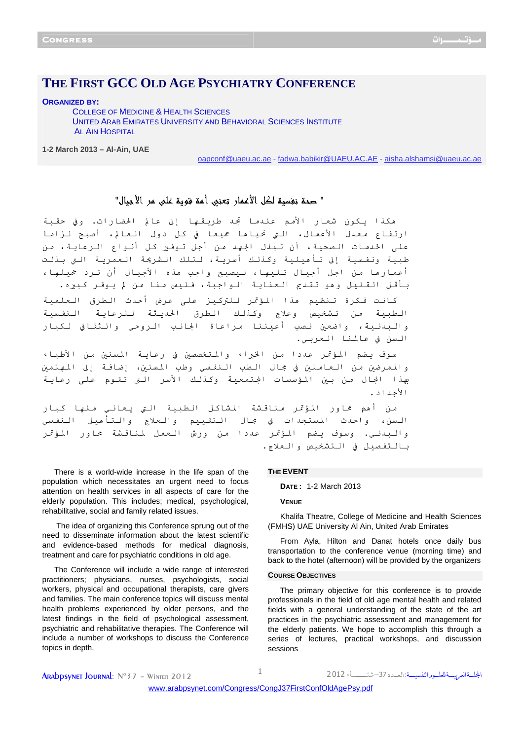# THE FIRST GCC OLD AGE PSYCHIATRY CONFERENCE

**ORGANIZED BY:** 

**COLLEGE OF MEDICINE & HEALTH SCIENCES** UNITED ARAB EMIRATES UNIVERSITY AND BEHAVIORAL SCIENCES INSTITUTE **AL AIN HOSPITAL** 

1-2 March 2013 - Al-Ain, UAE

oapconf@uaeu.ac.ae - fadwa.babikir@UAEU.AC.AE - aisha.alshamsi@uaeu.ac.ae

" حمدة نغسبة لكل الأعمار تعنبي أمة فوية على مر الأجبال"

هكذا يكون شعار الأمم عندما تجد طريقها إلى عالم الحضارات. وفي حقبة ارتفاع معدل الأعمال، التي نحياها جميعا في كل دول العالم، أصبح لزاما على الخدمات الصحية، أن تبذل الجهد من أجل تـوفـير كل أنـواع الـرعايـة، من طبية ونفسية إلى تأهيلية وكذلك أسرية، لتلك الشريحة العمرية التي بذلت أعمارها من اجل أجيال تليها، ليصبح واجب هذه الأجيال أن ترد جميلها، بأقل القليل وهو تقديم العناية الواجبة، فليس منا من لم يوقر كبيره.

كانت فكرة تنظيم هذا المؤتمر للتركيز على عرض أحدث الطرق العلمية الطبية من تشخيص وعلاج وكذلك الطرق الحديثة للرعاية النفسية والبدنية، واضعين نصب أعيننا مراعاة الجانب الروحي والثقافي لكبار السن في عالمنا العربي.

سوف يضم المؤتمر عددا من الخبراء والمتخصصين في رعاية المسنين من الأطباء والممرضين من العاملين في جمال الطب النفسي وطب المسنين، إضافة إلى المهتمين بهذا الجال من بين المؤسسات الجتمعية وكذلك الأسر التي تقوم على رعاية الأجداد.

من أهم محاور المؤتمر مناقشة المشاكل الطبية التي يعاني منها كبار السن، واحدث المستجدات في مجال التقييم والعلاج والتأهيل النفسى والبدني. وسوف يضم المؤتمر عددا من ورش العمل لمناقشة محاور المؤتمر بالتفصيل في التشخيص والعلاج.

There is a world-wide increase in the life span of the population which necessitates an urgent need to focus attention on health services in all aspects of care for the elderly population. This includes; medical, psychological, rehabilitative, social and family related issues.

The idea of organizing this Conference sprung out of the need to disseminate information about the latest scientific and evidence-based methods for medical diagnosis. treatment and care for psychiatric conditions in old age.

The Conference will include a wide range of interested practitioners; physicians, nurses, psychologists, social workers, physical and occupational therapists, care givers and families. The main conference topics will discuss mental health problems experienced by older persons, and the latest findings in the field of psychological assessment, psychiatric and rehabilitative therapies. The Conference will include a number of workshops to discuss the Conference topics in depth.

## THE EVENT

**DATE: 1-2 March 2013** 

# **VENUE**

Khalifa Theatre, College of Medicine and Health Sciences (FMHS) UAE University Al Ain, United Arab Emirates

From Ayla, Hilton and Danat hotels once daily bus transportation to the conference venue (morning time) and back to the hotel (afternoon) will be provided by the organizers

#### **COURSE OBJECTIVES**

The primary objective for this conference is to provide professionals in the field of old age mental health and related fields with a general understanding of the state of the art practices in the psychiatric assessment and management for the elderly patients. We hope to accomplish this through a series of lectures, practical workshops, and discussion sessions

1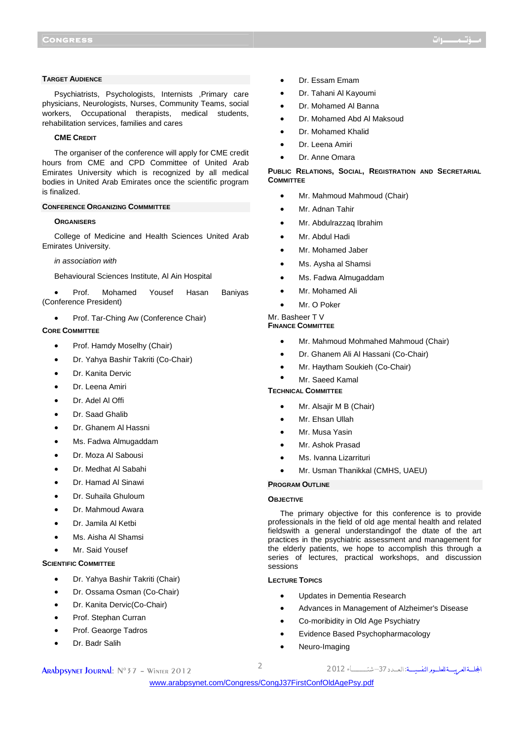# **TARGET AUDIENCE**

Psychiatrists, Psychologists, Internists ,Primary care physicians, Neurologists, Nurses, Community Teams, social workers, Occupational therapists, medical students, rehabilitation services, families and cares

#### **CME CREDIT**

The organiser of the conference will apply for CME credit hours from CME and CPD Committee of United Arab Emirates University which is recognized by all medical bodies in United Arab Emirates once the scientific program is finalized.

## **CONFERENCE ORGANIZING COMMMITTEE**

#### **ORGANISERS**

College of Medicine and Health Sciences United Arab Emirates University.

#### in association with

Behavioural Sciences Institute, Al Ain Hospital

• Prof. Mohamed Yousef Hasan Baniyas (Conference President)

• Prof. Tar-Ching Aw (Conference Chair)

# **CORE COMMITTEE**

- Prof. Hamdy Moselhy (Chair)
- Dr. Yahya Bashir Takriti (Co-Chair)
- Dr. Kanita Dervic
- Dr. Leena Amiri
- Dr. Adel Al Offi
- Dr. Saad Ghalib
- Dr. Ghanem Al Hassni
- Ms. Fadwa Almugaddam
- Dr. Moza Al Sabousi
- Dr. Medhat Al Sabahi
- Dr. Hamad Al Sinawi
- Dr. Suhaila Ghuloum
- Dr. Mahmoud Awara
- Dr. Jamila Al Ketbi
- Ms. Aisha Al Shamsi
- Mr. Said Yousef

# **SCIENTIFIC COMMITTEE**

- Dr. Yahya Bashir Takriti (Chair)
- Dr. Ossama Osman (Co-Chair)
- Dr. Kanita Dervic(Co-Chair)
- Prof. Stephan Curran
- Prof. Geaorge Tadros
- Dr. Badr Salih
- Dr. Essam Emam
- Dr. Tahani Al Kayoumi
- Dr. Mohamed Al Banna
- Dr. Mohamed Abd Al Maksoud
- Dr. Mohamed Khalid
- Dr. Leena Amiri
- Dr. Anne Omara

# **PUBLIC RELATIONS, SOCIAL, REGISTRATION AND SECRETARIAL COMMITTEE**

- Mr. Mahmoud Mahmoud (Chair)
- Mr. Adnan Tahir
- Mr. Abdulrazzaq Ibrahim
- Mr. Abdul Hadi
- Mr. Mohamed Jaber
- Ms. Aysha al Shamsi
- Ms. Fadwa Almugaddam
- Mr. Mohamed Ali
- Mr. O Poker

#### Mr. Basheer T V

# **FINANCE COMMITTEE**

- Mr. Mahmoud Mohmahed Mahmoud (Chair)
- Dr. Ghanem Ali Al Hassani (Co-Chair)
- Mr. Haytham Soukieh (Co-Chair)
- Mr. Saeed Kamal

# **TECHNICAL COMMITTEE**

- Mr. Alsajir M B (Chair)
- Mr. Ehsan Ullah
- Mr. Musa Yasin
- Mr. Ashok Prasad
- Ms. Ivanna Lizarrituri
- Mr. Usman Thanikkal (CMHS, UAEU)

# **PROGRAM OUTLINE**

## **OBJECTIVE**

The primary objective for this conference is to provide professionals in the field of old age mental health and related fieldswith a general understandingof the dtate of the art practices in the psychiatric assessment and management for the elderly patients, we hope to accomplish this through a series of lectures, practical workshops, and discussion sessions

## **LECTURE TOPICS**

- Updates in Dementia Research
- Advances in Management of Alzheimer's Disease
- Co-moribidity in Old Age Psychiatry
- Evidence Based Psychopharmacology
- Neuro-Imaging

# الجحلسةالعربيسة للعلسوم النفسيسية: العسدد 37 – 2012 - 2012 - 2012 - 2012 Arabpsynet Journal: N°37 – Winter 2012

<www.arabpsynet.com/Congress/CongJ37FirstConfOldAgePsy.pdf>